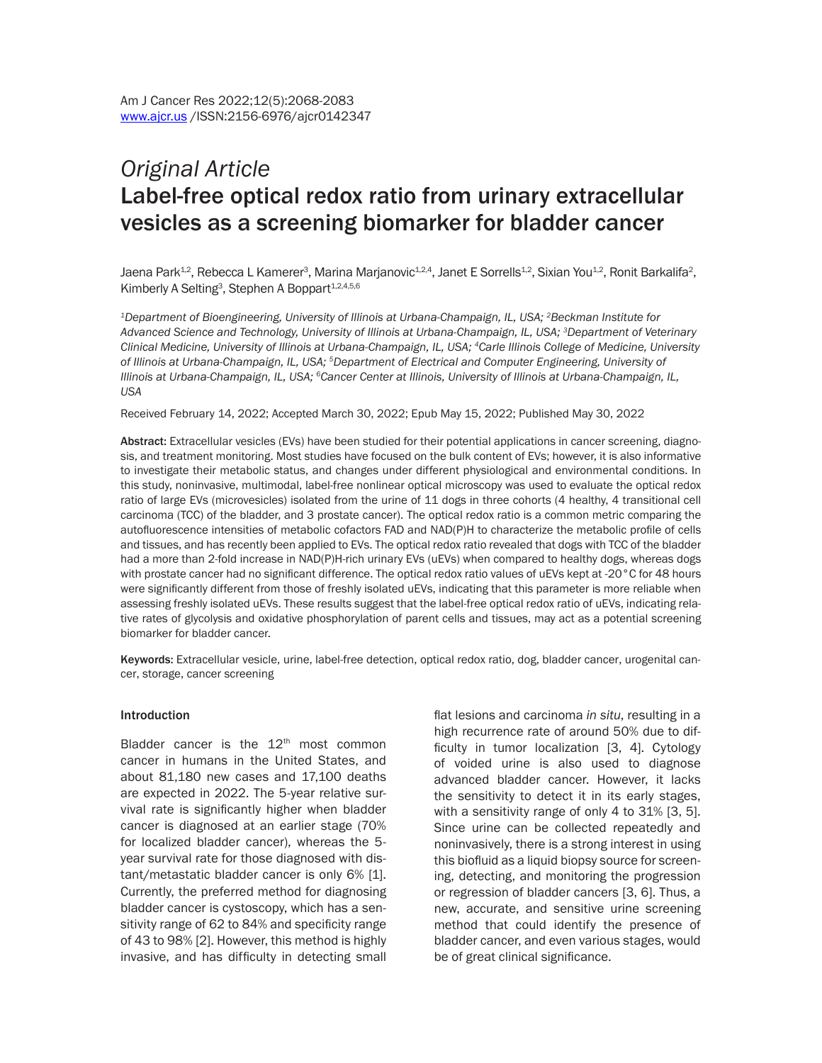# *Original Article* Label-free optical redox ratio from urinary extracellular vesicles as a screening biomarker for bladder cancer

Jaena Park $^{12}$ , Rebecca L Kamerer $^3$ , Marina Marjanovic $^{12,4}$ , Janet E Sorrells $^{12}$ , Sixian You $^{12}$ , Ronit Barkalifa $^2$ , Kimberly A Selting<sup>3</sup>, Stephen A Boppart<sup>1,2,4,5,6</sup>

*1Department of Bioengineering, University of Illinois at Urbana-Champaign, IL, USA; 2Beckman Institute for Advanced Science and Technology, University of Illinois at Urbana-Champaign, IL, USA; 3Department of Veterinary Clinical Medicine, University of Illinois at Urbana-Champaign, IL, USA; 4Carle Illinois College of Medicine, University of Illinois at Urbana-Champaign, IL, USA; 5Department of Electrical and Computer Engineering, University of Illinois at Urbana-Champaign, IL, USA; 6Cancer Center at Illinois, University of Illinois at Urbana-Champaign, IL, USA*

Received February 14, 2022; Accepted March 30, 2022; Epub May 15, 2022; Published May 30, 2022

Abstract: Extracellular vesicles (EVs) have been studied for their potential applications in cancer screening, diagnosis, and treatment monitoring. Most studies have focused on the bulk content of EVs; however, it is also informative to investigate their metabolic status, and changes under different physiological and environmental conditions. In this study, noninvasive, multimodal, label-free nonlinear optical microscopy was used to evaluate the optical redox ratio of large EVs (microvesicles) isolated from the urine of 11 dogs in three cohorts (4 healthy, 4 transitional cell carcinoma (TCC) of the bladder, and 3 prostate cancer). The optical redox ratio is a common metric comparing the autofluorescence intensities of metabolic cofactors FAD and NAD(P)H to characterize the metabolic profile of cells and tissues, and has recently been applied to EVs. The optical redox ratio revealed that dogs with TCC of the bladder had a more than 2-fold increase in NAD(P)H-rich urinary EVs (uEVs) when compared to healthy dogs, whereas dogs with prostate cancer had no significant difference. The optical redox ratio values of uEVs kept at -20°C for 48 hours were significantly different from those of freshly isolated uEVs, indicating that this parameter is more reliable when assessing freshly isolated uEVs. These results suggest that the label-free optical redox ratio of uEVs, indicating relative rates of glycolysis and oxidative phosphorylation of parent cells and tissues, may act as a potential screening biomarker for bladder cancer.

Keywords: Extracellular vesicle, urine, label-free detection, optical redox ratio, dog, bladder cancer, urogenital cancer, storage, cancer screening

#### Introduction

Bladder cancer is the  $12<sup>th</sup>$  most common cancer in humans in the United States, and about 81,180 new cases and 17,100 deaths are expected in 2022. The 5-year relative survival rate is significantly higher when bladder cancer is diagnosed at an earlier stage (70% for localized bladder cancer), whereas the 5 year survival rate for those diagnosed with distant/metastatic bladder cancer is only 6% [1]. Currently, the preferred method for diagnosing bladder cancer is cystoscopy, which has a sensitivity range of 62 to 84% and specificity range of 43 to 98% [2]. However, this method is highly invasive, and has difficulty in detecting small

flat lesions and carcinoma *in situ*, resulting in a high recurrence rate of around 50% due to difficulty in tumor localization [3, 4]. Cytology of voided urine is also used to diagnose advanced bladder cancer. However, it lacks the sensitivity to detect it in its early stages, with a sensitivity range of only 4 to 31% [3, 5]. Since urine can be collected repeatedly and noninvasively, there is a strong interest in using this biofluid as a liquid biopsy source for screening, detecting, and monitoring the progression or regression of bladder cancers [3, 6]. Thus, a new, accurate, and sensitive urine screening method that could identify the presence of bladder cancer, and even various stages, would be of great clinical significance.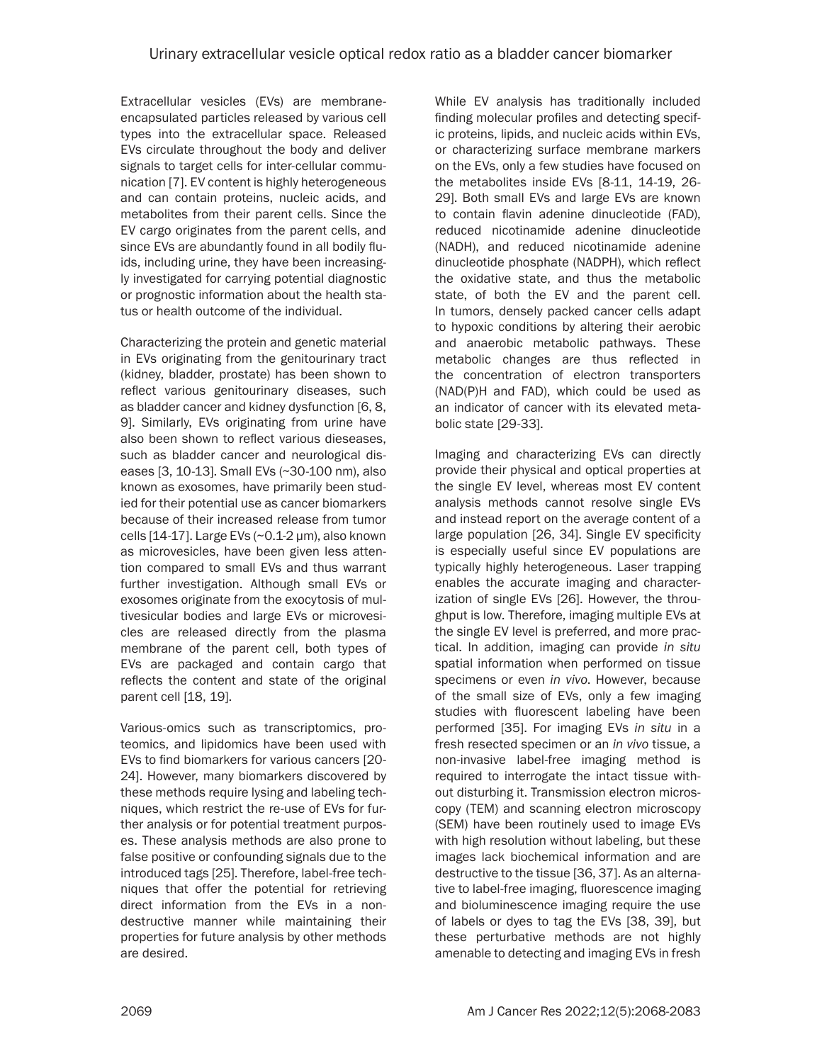Extracellular vesicles (EVs) are membraneencapsulated particles released by various cell types into the extracellular space. Released EVs circulate throughout the body and deliver signals to target cells for inter-cellular communication [7]. EV content is highly heterogeneous and can contain proteins, nucleic acids, and metabolites from their parent cells. Since the EV cargo originates from the parent cells, and since EVs are abundantly found in all bodily fluids, including urine, they have been increasingly investigated for carrying potential diagnostic or prognostic information about the health status or health outcome of the individual.

Characterizing the protein and genetic material in EVs originating from the genitourinary tract (kidney, bladder, prostate) has been shown to reflect various genitourinary diseases, such as bladder cancer and kidney dysfunction [6, 8, 9]. Similarly, EVs originating from urine have also been shown to reflect various dieseases, such as bladder cancer and neurological diseases [3, 10-13]. Small EVs (~30-100 nm), also known as exosomes, have primarily been studied for their potential use as cancer biomarkers because of their increased release from tumor cells [14-17]. Large EVs (~0.1-2 μm), also known as microvesicles, have been given less attention compared to small EVs and thus warrant further investigation. Although small EVs or exosomes originate from the exocytosis of multivesicular bodies and large EVs or microvesicles are released directly from the plasma membrane of the parent cell, both types of EVs are packaged and contain cargo that reflects the content and state of the original parent cell [18, 19].

Various-omics such as transcriptomics, proteomics, and lipidomics have been used with EVs to find biomarkers for various cancers [20- 24]. However, many biomarkers discovered by these methods require lysing and labeling techniques, which restrict the re-use of EVs for further analysis or for potential treatment purposes. These analysis methods are also prone to false positive or confounding signals due to the introduced tags [25]. Therefore, label-free techniques that offer the potential for retrieving direct information from the EVs in a nondestructive manner while maintaining their properties for future analysis by other methods are desired.

While EV analysis has traditionally included finding molecular profiles and detecting specific proteins, lipids, and nucleic acids within EVs, or characterizing surface membrane markers on the EVs, only a few studies have focused on the metabolites inside EVs [8-11, 14-19, 26- 29]. Both small EVs and large EVs are known to contain flavin adenine dinucleotide (FAD), reduced nicotinamide adenine dinucleotide (NADH), and reduced nicotinamide adenine dinucleotide phosphate (NADPH), which reflect the oxidative state, and thus the metabolic state, of both the EV and the parent cell. In tumors, densely packed cancer cells adapt to hypoxic conditions by altering their aerobic and anaerobic metabolic pathways. These metabolic changes are thus reflected in the concentration of electron transporters (NAD(P)H and FAD), which could be used as an indicator of cancer with its elevated metabolic state [29-33].

Imaging and characterizing EVs can directly provide their physical and optical properties at the single EV level, whereas most EV content analysis methods cannot resolve single EVs and instead report on the average content of a large population [26, 34]. Single EV specificity is especially useful since EV populations are typically highly heterogeneous. Laser trapping enables the accurate imaging and characterization of single EVs [26]. However, the throughput is low. Therefore, imaging multiple EVs at the single EV level is preferred, and more practical. In addition, imaging can provide *in situ*  spatial information when performed on tissue specimens or even *in vivo*. However, because of the small size of EVs, only a few imaging studies with fluorescent labeling have been performed [35]. For imaging EVs *in situ* in a fresh resected specimen or an *in vivo* tissue, a non-invasive label-free imaging method is required to interrogate the intact tissue without disturbing it. Transmission electron microscopy (TEM) and scanning electron microscopy (SEM) have been routinely used to image EVs with high resolution without labeling, but these images lack biochemical information and are destructive to the tissue [36, 37]. As an alternative to label-free imaging, fluorescence imaging and bioluminescence imaging require the use of labels or dyes to tag the EVs [38, 39], but these perturbative methods are not highly amenable to detecting and imaging EVs in fresh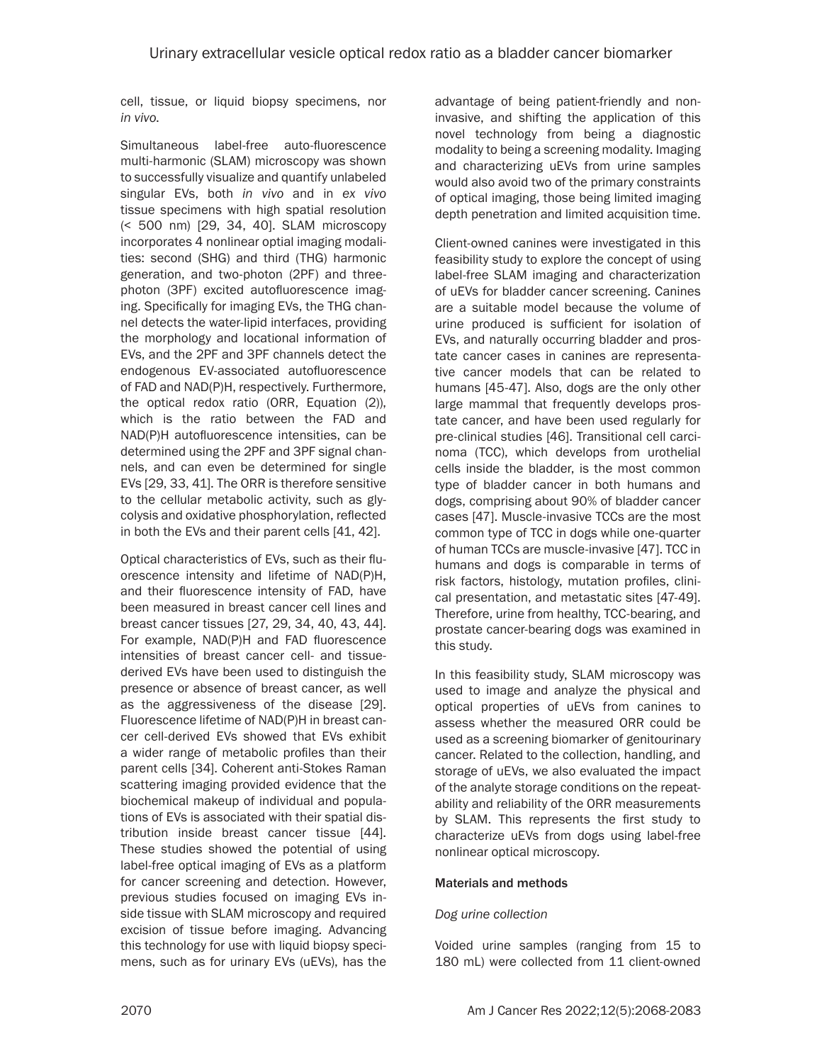cell, tissue, or liquid biopsy specimens, nor *in vivo*.

Simultaneous label-free auto-fluorescence multi-harmonic (SLAM) microscopy was shown to successfully visualize and quantify unlabeled singular EVs, both *in vivo* and in *ex vivo* tissue specimens with high spatial resolution (< 500 nm) [29, 34, 40]. SLAM microscopy incorporates 4 nonlinear optial imaging modalities: second (SHG) and third (THG) harmonic generation, and two-photon (2PF) and threephoton (3PF) excited autofluorescence imaging. Specifically for imaging EVs, the THG channel detects the water-lipid interfaces, providing the morphology and locational information of EVs, and the 2PF and 3PF channels detect the endogenous EV-associated autofluorescence of FAD and NAD(P)H, respectively. Furthermore, the optical redox ratio (ORR, Equation (2)), which is the ratio between the FAD and NAD(P)H autofluorescence intensities, can be determined using the 2PF and 3PF signal channels, and can even be determined for single EVs [29, 33, 41]. The ORR is therefore sensitive to the cellular metabolic activity, such as glycolysis and oxidative phosphorylation, reflected in both the EVs and their parent cells [41, 42].

Optical characteristics of EVs, such as their fluorescence intensity and lifetime of NAD(P)H, and their fluorescence intensity of FAD, have been measured in breast cancer cell lines and breast cancer tissues [27, 29, 34, 40, 43, 44]. For example, NAD(P)H and FAD fluorescence intensities of breast cancer cell- and tissuederived EVs have been used to distinguish the presence or absence of breast cancer, as well as the aggressiveness of the disease [29]. Fluorescence lifetime of NAD(P)H in breast cancer cell-derived EVs showed that EVs exhibit a wider range of metabolic profiles than their parent cells [34]. Coherent anti-Stokes Raman scattering imaging provided evidence that the biochemical makeup of individual and populations of EVs is associated with their spatial distribution inside breast cancer tissue [44]. These studies showed the potential of using label-free optical imaging of EVs as a platform for cancer screening and detection. However, previous studies focused on imaging EVs inside tissue with SLAM microscopy and required excision of tissue before imaging. Advancing this technology for use with liquid biopsy specimens, such as for urinary EVs (uEVs), has the

advantage of being patient-friendly and noninvasive, and shifting the application of this novel technology from being a diagnostic modality to being a screening modality. Imaging and characterizing uEVs from urine samples would also avoid two of the primary constraints of optical imaging, those being limited imaging depth penetration and limited acquisition time.

Client-owned canines were investigated in this feasibility study to explore the concept of using label-free SLAM imaging and characterization of uEVs for bladder cancer screening. Canines are a suitable model because the volume of urine produced is sufficient for isolation of EVs, and naturally occurring bladder and prostate cancer cases in canines are representative cancer models that can be related to humans [45-47]. Also, dogs are the only other large mammal that frequently develops prostate cancer, and have been used regularly for pre-clinical studies [46]. Transitional cell carcinoma (TCC), which develops from urothelial cells inside the bladder, is the most common type of bladder cancer in both humans and dogs, comprising about 90% of bladder cancer cases [47]. Muscle-invasive TCCs are the most common type of TCC in dogs while one-quarter of human TCCs are muscle-invasive [47]. TCC in humans and dogs is comparable in terms of risk factors, histology, mutation profiles, clinical presentation, and metastatic sites [47-49]. Therefore, urine from healthy, TCC-bearing, and prostate cancer-bearing dogs was examined in this study.

In this feasibility study, SLAM microscopy was used to image and analyze the physical and optical properties of uEVs from canines to assess whether the measured ORR could be used as a screening biomarker of genitourinary cancer. Related to the collection, handling, and storage of uEVs, we also evaluated the impact of the analyte storage conditions on the repeatability and reliability of the ORR measurements by SLAM. This represents the first study to characterize uEVs from dogs using label-free nonlinear optical microscopy.

## Materials and methods

## *Dog urine collection*

Voided urine samples (ranging from 15 to 180 mL) were collected from 11 client-owned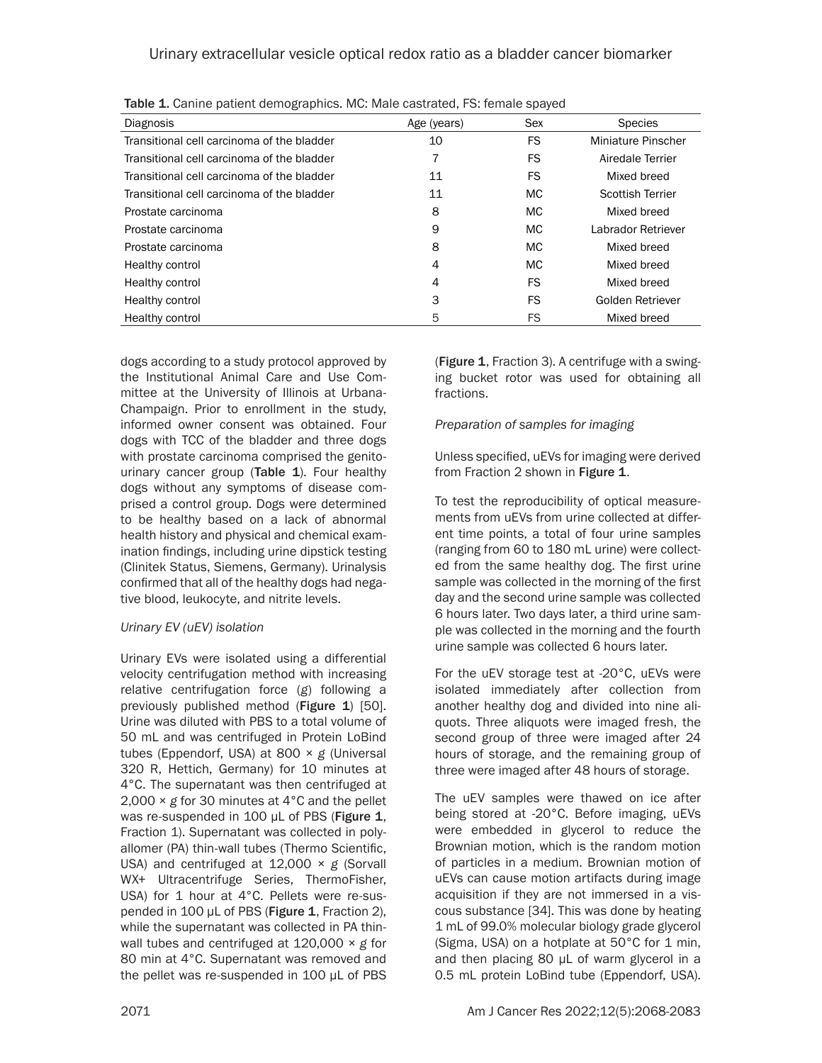| Diagnosis                                  | Age (years) | Sex       | <b>Species</b>          |
|--------------------------------------------|-------------|-----------|-------------------------|
| Transitional cell carcinoma of the bladder | 10          | <b>FS</b> | Miniature Pinscher      |
| Transitional cell carcinoma of the bladder | 7           | <b>FS</b> | Airedale Terrier        |
| Transitional cell carcinoma of the bladder | 11          | <b>FS</b> | Mixed breed             |
| Transitional cell carcinoma of the bladder | 11          | МC        | <b>Scottish Terrier</b> |
| Prostate carcinoma                         | 8           | МC        | Mixed breed             |
| Prostate carcinoma                         | 9           | МC        | Labrador Retriever      |
| Prostate carcinoma                         | 8           | МC        | Mixed breed             |
| Healthy control                            | 4           | МC        | Mixed breed             |
| Healthy control                            | 4           | <b>FS</b> | Mixed breed             |
| Healthy control                            | 3           | <b>FS</b> | Golden Retriever        |
| Healthy control                            | 5           | FS        | Mixed breed             |

Table 1. Canine patient demographics. MC: Male castrated, FS: female spayed

dogs according to a study protocol approved by the Institutional Animal Care and Use Committee at the University of Illinois at Urbana-Champaign. Prior to enrollment in the study, informed owner consent was obtained. Four dogs with TCC of the bladder and three dogs with prostate carcinoma comprised the genitourinary cancer group (Table  $1$ ). Four healthy dogs without any symptoms of disease comprised a control group. Dogs were determined to be healthy based on a lack of abnormal health history and physical and chemical examination findings, including urine dipstick testing (Clinitek Status, Siemens, Germany). Urinalysis confirmed that all of the healthy dogs had negative blood, leukocyte, and nitrite levels.

## *Urinary EV (uEV) isolation*

Urinary EVs were isolated using a differential velocity centrifugation method with increasing relative centrifugation force (*g*) following a previously published method (Figure 1) [50]. Urine was diluted with PBS to a total volume of 50 mL and was centrifuged in Protein LoBind tubes (Eppendorf, USA) at 800 × *g* (Universal 320 R, Hettich, Germany) for 10 minutes at 4°C. The supernatant was then centrifuged at 2,000 × *g* for 30 minutes at 4°C and the pellet was re-suspended in 100 µL of PBS (Figure 1, Fraction 1). Supernatant was collected in polyallomer (PA) thin-wall tubes (Thermo Scientific, USA) and centrifuged at 12,000 × *g* (Sorvall WX+ Ultracentrifuge Series, ThermoFisher, USA) for 1 hour at 4°C. Pellets were re-suspended in 100 µL of PBS (Figure 1, Fraction 2), while the supernatant was collected in PA thinwall tubes and centrifuged at 120,000 × *g* for 80 min at 4°C. Supernatant was removed and the pellet was re-suspended in 100 µL of PBS

(Figure 1, Fraction 3). A centrifuge with a swinging bucket rotor was used for obtaining all fractions.

## *Preparation of samples for imaging*

Unless specified, uEVs for imaging were derived from Fraction 2 shown in Figure 1.

To test the reproducibility of optical measurements from uEVs from urine collected at different time points, a total of four urine samples (ranging from 60 to 180 mL urine) were collected from the same healthy dog. The first urine sample was collected in the morning of the first day and the second urine sample was collected 6 hours later. Two days later, a third urine sample was collected in the morning and the fourth urine sample was collected 6 hours later.

For the uEV storage test at -20°C, uEVs were isolated immediately after collection from another healthy dog and divided into nine aliquots. Three aliquots were imaged fresh, the second group of three were imaged after 24 hours of storage, and the remaining group of three were imaged after 48 hours of storage.

The uEV samples were thawed on ice after being stored at -20°C. Before imaging, uEVs were embedded in glycerol to reduce the Brownian motion, which is the random motion of particles in a medium. Brownian motion of uEVs can cause motion artifacts during image acquisition if they are not immersed in a viscous substance [34]. This was done by heating 1 mL of 99.0% molecular biology grade glycerol (Sigma, USA) on a hotplate at 50°C for 1 min, and then placing 80 µL of warm glycerol in a 0.5 mL protein LoBind tube (Eppendorf, USA).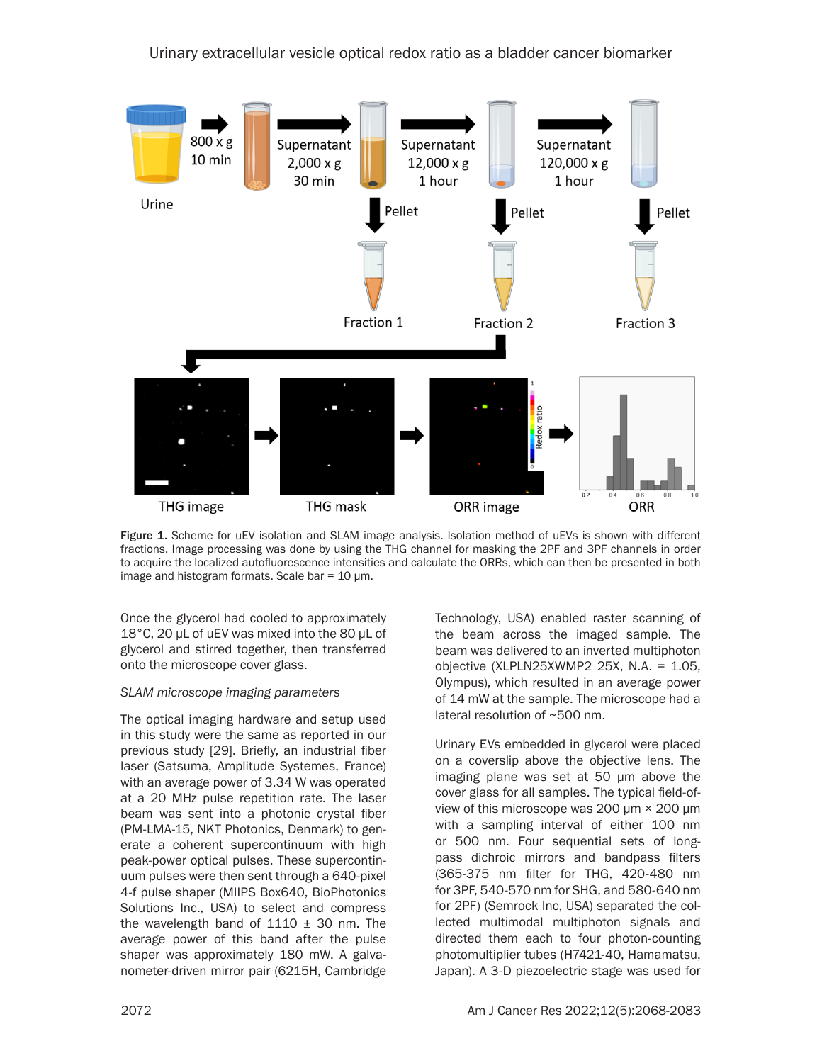

Figure 1. Scheme for uEV isolation and SLAM image analysis. Isolation method of uEVs is shown with different fractions. Image processing was done by using the THG channel for masking the 2PF and 3PF channels in order to acquire the localized autofluorescence intensities and calculate the ORRs, which can then be presented in both image and histogram formats. Scale bar =  $10 \mu m$ .

Once the glycerol had cooled to approximately 18°C, 20 µL of uEV was mixed into the 80 µL of glycerol and stirred together, then transferred onto the microscope cover glass.

#### *SLAM microscope imaging parameters*

The optical imaging hardware and setup used in this study were the same as reported in our previous study [29]. Briefly, an industrial fiber laser (Satsuma, Amplitude Systemes, France) with an average power of 3.34 W was operated at a 20 MHz pulse repetition rate. The laser beam was sent into a photonic crystal fiber (PM-LMA-15, NKT Photonics, Denmark) to generate a coherent supercontinuum with high peak-power optical pulses. These supercontinuum pulses were then sent through a 640-pixel 4-f pulse shaper (MIIPS Box640, BioPhotonics Solutions Inc., USA) to select and compress the wavelength band of  $1110 \pm 30$  nm. The average power of this band after the pulse shaper was approximately 180 mW. A galvanometer-driven mirror pair (6215H, Cambridge

Technology, USA) enabled raster scanning of the beam across the imaged sample. The beam was delivered to an inverted multiphoton objective (XLPLN25XWMP2 25X, N.A. = 1.05, Olympus), which resulted in an average power of 14 mW at the sample. The microscope had a lateral resolution of ~500 nm.

Urinary EVs embedded in glycerol were placed on a coverslip above the objective lens. The imaging plane was set at 50 µm above the cover glass for all samples. The typical field-ofview of this microscope was 200 µm × 200 µm with a sampling interval of either 100 nm or 500 nm. Four sequential sets of longpass dichroic mirrors and bandpass filters (365-375 nm filter for THG, 420-480 nm for 3PF, 540-570 nm for SHG, and 580-640 nm for 2PF) (Semrock Inc, USA) separated the collected multimodal multiphoton signals and directed them each to four photon-counting photomultiplier tubes (H7421-40, Hamamatsu, Japan). A 3-D piezoelectric stage was used for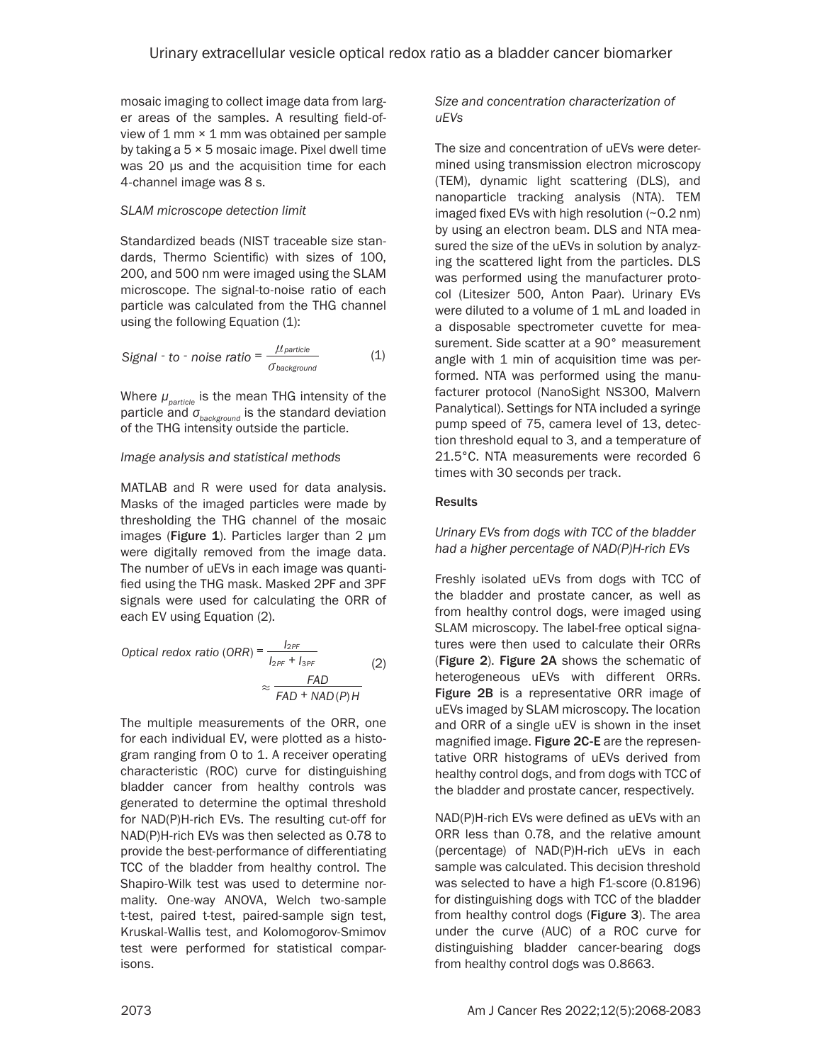mosaic imaging to collect image data from larger areas of the samples. A resulting field-ofview of  $1 \text{ mm} \times 1 \text{ mm}$  was obtained per sample by taking a  $5 \times 5$  mosaic image. Pixel dwell time was 20  $\mu$ s and the acquisition time for each 4-channel image was 8 s.

## *SLAM microscope detection limit*

Standardized beads (NIST traceable size standards, Thermo Scientific) with sizes of 100, 200, and 500 nm were imaged using the SLAM microscope. The signal-to-noise ratio of each particle was calculated from the THG channel using the following Equation (1):

Signal - to - noise ratio = 
$$
\frac{\mu_{\text{particle}}}{\sigma_{\text{background}}}
$$
 (1)

Where *μparticle* is the mean THG intensity of the particle and *σbackground* is the standard deviation of the THG intensity outside the particle.

## *Image analysis and statistical methods*

MATLAB and R were used for data analysis. Masks of the imaged particles were made by thresholding the THG channel of the mosaic images (Figure  $1$ ). Particles larger than 2  $\mu$ m were digitally removed from the image data. The number of uEVs in each image was quantified using the THG mask. Masked 2PF and 3PF signals were used for calculating the ORR of each EV using Equation (2).

Optical redox ratio (ORR) = 
$$
\frac{I_{2PF}}{I_{2PF} + I_{3PF}}
$$

$$
\approx \frac{FAD}{FAD + NAD(P)H}
$$
(2)

The multiple measurements of the ORR, one for each individual EV, were plotted as a histogram ranging from 0 to 1. A receiver operating characteristic (ROC) curve for distinguishing bladder cancer from healthy controls was generated to determine the optimal threshold for NAD(P)H-rich EVs. The resulting cut-off for NAD(P)H-rich EVs was then selected as 0.78 to provide the best-performance of differentiating TCC of the bladder from healthy control. The Shapiro-Wilk test was used to determine normality. One-way ANOVA, Welch two-sample t-test, paired t-test, paired-sample sign test, Kruskal-Wallis test, and Kolomogorov-Smimov test were performed for statistical comparisons.

## *Size and concentration characterization of uEVs*

The size and concentration of uEVs were determined using transmission electron microscopy (TEM), dynamic light scattering (DLS), and nanoparticle tracking analysis (NTA). TEM imaged fixed EVs with high resolution (~0.2 nm) by using an electron beam. DLS and NTA measured the size of the uEVs in solution by analyzing the scattered light from the particles. DLS was performed using the manufacturer protocol (Litesizer 500, Anton Paar). Urinary EVs were diluted to a volume of 1 mL and loaded in a disposable spectrometer cuvette for measurement. Side scatter at a 90° measurement angle with 1 min of acquisition time was performed. NTA was performed using the manufacturer protocol (NanoSight NS300, Malvern Panalytical). Settings for NTA included a syringe pump speed of 75, camera level of 13, detection threshold equal to 3, and a temperature of 21.5°C. NTA measurements were recorded 6 times with 30 seconds per track.

## Results

#### *Urinary EVs from dogs with TCC of the bladder had a higher percentage of NAD(P)H-rich EVs*

Freshly isolated uEVs from dogs with TCC of the bladder and prostate cancer, as well as from healthy control dogs, were imaged using SLAM microscopy. The label-free optical signatures were then used to calculate their ORRs (Figure 2). Figure 2A shows the schematic of heterogeneous uEVs with different ORRs. Figure 2B is a representative ORR image of uEVs imaged by SLAM microscopy. The location and ORR of a single uEV is shown in the inset magnified image. Figure 2C-E are the representative ORR histograms of uEVs derived from healthy control dogs, and from dogs with TCC of the bladder and prostate cancer, respectively.

NAD(P)H-rich EVs were defined as uEVs with an ORR less than 0.78, and the relative amount (percentage) of NAD(P)H-rich uEVs in each sample was calculated. This decision threshold was selected to have a high F1-score (0.8196) for distinguishing dogs with TCC of the bladder from healthy control dogs (Figure 3). The area under the curve (AUC) of a ROC curve for distinguishing bladder cancer-bearing dogs from healthy control dogs was 0.8663.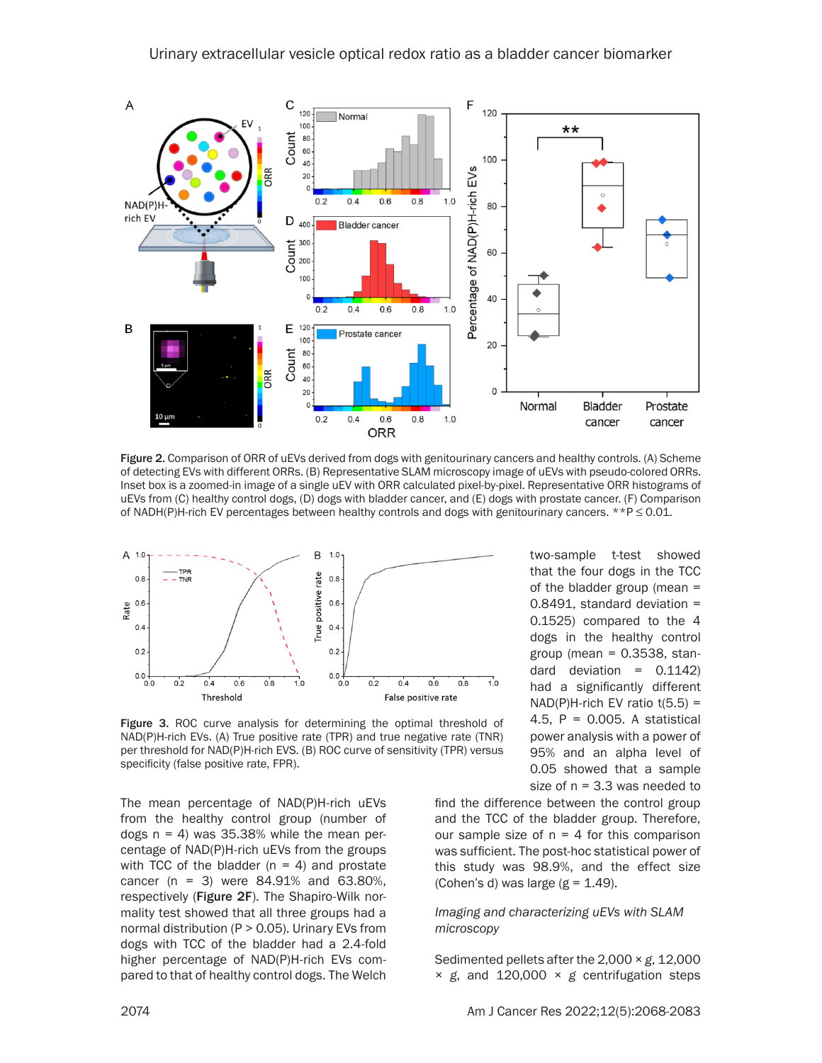

Figure 2. Comparison of ORR of uEVs derived from dogs with genitourinary cancers and healthy controls. (A) Scheme of detecting EVs with different ORRs. (B) Representative SLAM microscopy image of uEVs with pseudo-colored ORRs. Inset box is a zoomed-in image of a single uEV with ORR calculated pixel-by-pixel. Representative ORR histograms of uEVs from (C) healthy control dogs, (D) dogs with bladder cancer, and (E) dogs with prostate cancer. (F) Comparison of NADH(P)H-rich EV percentages between healthy controls and dogs with genitourinary cancers. \*\*P ≤ 0.01.



Figure 3. ROC curve analysis for determining the optimal threshold of NAD(P)H-rich EVs. (A) True positive rate (TPR) and true negative rate (TNR) per threshold for NAD(P)H-rich EVS. (B) ROC curve of sensitivity (TPR) versus specificity (false positive rate, FPR).

The mean percentage of NAD(P)H-rich uEVs from the healthy control group (number of dogs  $n = 4$ ) was 35.38% while the mean percentage of NAD(P)H-rich uEVs from the groups with TCC of the bladder  $(n = 4)$  and prostate cancer (n = 3) were 84.91% and 63.80%, respectively (Figure 2F). The Shapiro-Wilk normality test showed that all three groups had a normal distribution ( $P > 0.05$ ). Urinary EVs from dogs with TCC of the bladder had a 2.4-fold higher percentage of NAD(P)H-rich EVs compared to that of healthy control dogs. The Welch two-sample t-test showed that the four dogs in the TCC of the bladder group (mean = 0.8491, standard deviation = 0.1525) compared to the 4 dogs in the healthy control group (mean  $= 0.3538$ , standard deviation  $= 0.1142$ had a significantly different  $NAD(P)H$ -rich EV ratio  $t(5.5)$  = 4.5, P = 0.005. A statistical power analysis with a power of 95% and an alpha level of 0.05 showed that a sample size of  $n = 3.3$  was needed to

find the difference between the control group and the TCC of the bladder group. Therefore, our sample size of  $n = 4$  for this comparison was sufficient. The post-hoc statistical power of this study was 98.9%, and the effect size (Cohen's d) was large  $(g = 1.49)$ .

#### *Imaging and characterizing uEVs with SLAM microscopy*

Sedimented pellets after the 2,000 × *g*, 12,000 × *g*, and 120,000 × *g* centrifugation steps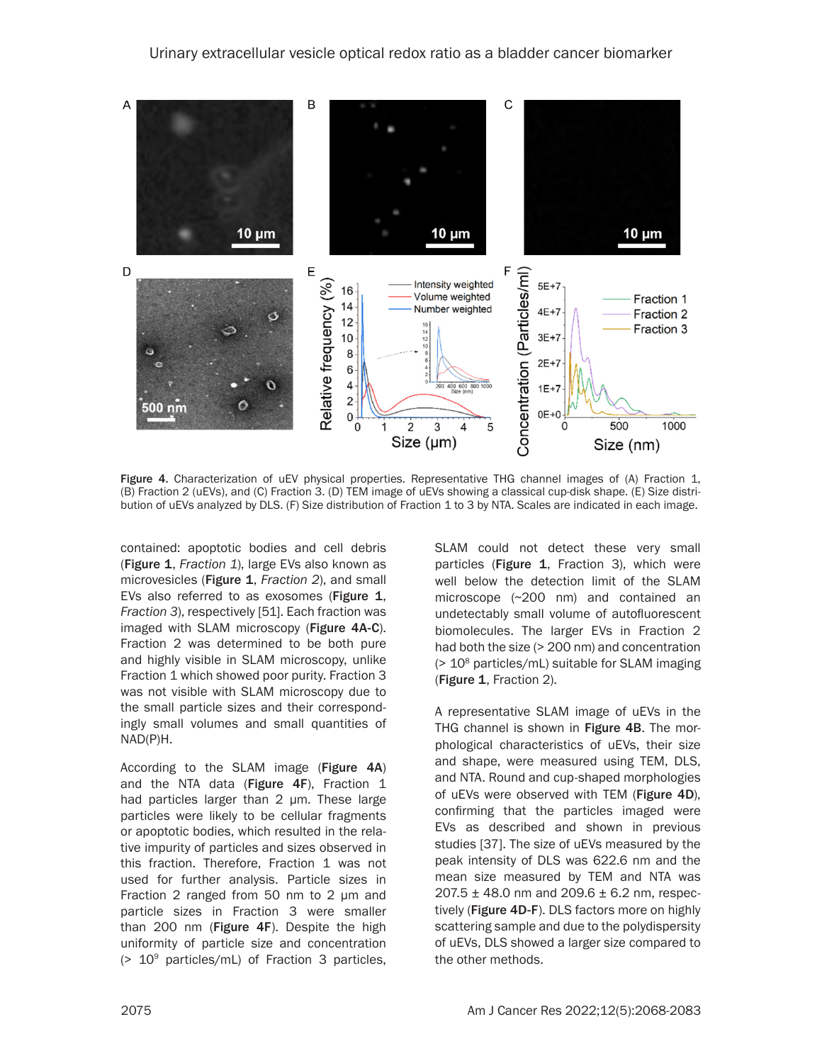

Figure 4. Characterization of uEV physical properties. Representative THG channel images of (A) Fraction 1, (B) Fraction 2 (uEVs), and (C) Fraction 3. (D) TEM image of uEVs showing a classical cup-disk shape. (E) Size distribution of uEVs analyzed by DLS. (F) Size distribution of Fraction 1 to 3 by NTA. Scales are indicated in each image.

contained: apoptotic bodies and cell debris (Figure 1, *Fraction 1*), large EVs also known as microvesicles (Figure 1, *Fraction 2*), and small EVs also referred to as exosomes (Figure 1, *Fraction 3*), respectively [51]. Each fraction was imaged with SLAM microscopy (Figure 4A-C). Fraction 2 was determined to be both pure and highly visible in SLAM microscopy, unlike Fraction 1 which showed poor purity. Fraction 3 was not visible with SLAM microscopy due to the small particle sizes and their correspondingly small volumes and small quantities of NAD(P)H.

According to the SLAM image (Figure 4A) and the NTA data (Figure  $4F$ ), Fraction 1 had particles larger than 2 um. These large particles were likely to be cellular fragments or apoptotic bodies, which resulted in the relative impurity of particles and sizes observed in this fraction. Therefore, Fraction 1 was not used for further analysis. Particle sizes in Fraction 2 ranged from 50 nm to 2 µm and particle sizes in Fraction 3 were smaller than 200 nm (Figure  $4F$ ). Despite the high uniformity of particle size and concentration  $(> 10<sup>9</sup>$  particles/mL) of Fraction 3 particles, SLAM could not detect these very small particles (Figure 1, Fraction 3), which were well below the detection limit of the SLAM microscope (~200 nm) and contained an undetectably small volume of autofluorescent biomolecules. The larger EVs in Fraction 2 had both the size (> 200 nm) and concentration (> 108 particles/mL) suitable for SLAM imaging (Figure 1, Fraction 2).

A representative SLAM image of uEVs in the THG channel is shown in Figure 4B. The morphological characteristics of uEVs, their size and shape, were measured using TEM, DLS, and NTA. Round and cup-shaped morphologies of uEVs were observed with TEM (Figure 4D), confirming that the particles imaged were EVs as described and shown in previous studies [37]. The size of uEVs measured by the peak intensity of DLS was 622.6 nm and the mean size measured by TEM and NTA was  $207.5 \pm 48.0$  nm and  $209.6 \pm 6.2$  nm, respectively (Figure 4D-F). DLS factors more on highly scattering sample and due to the polydispersity of uEVs, DLS showed a larger size compared to the other methods.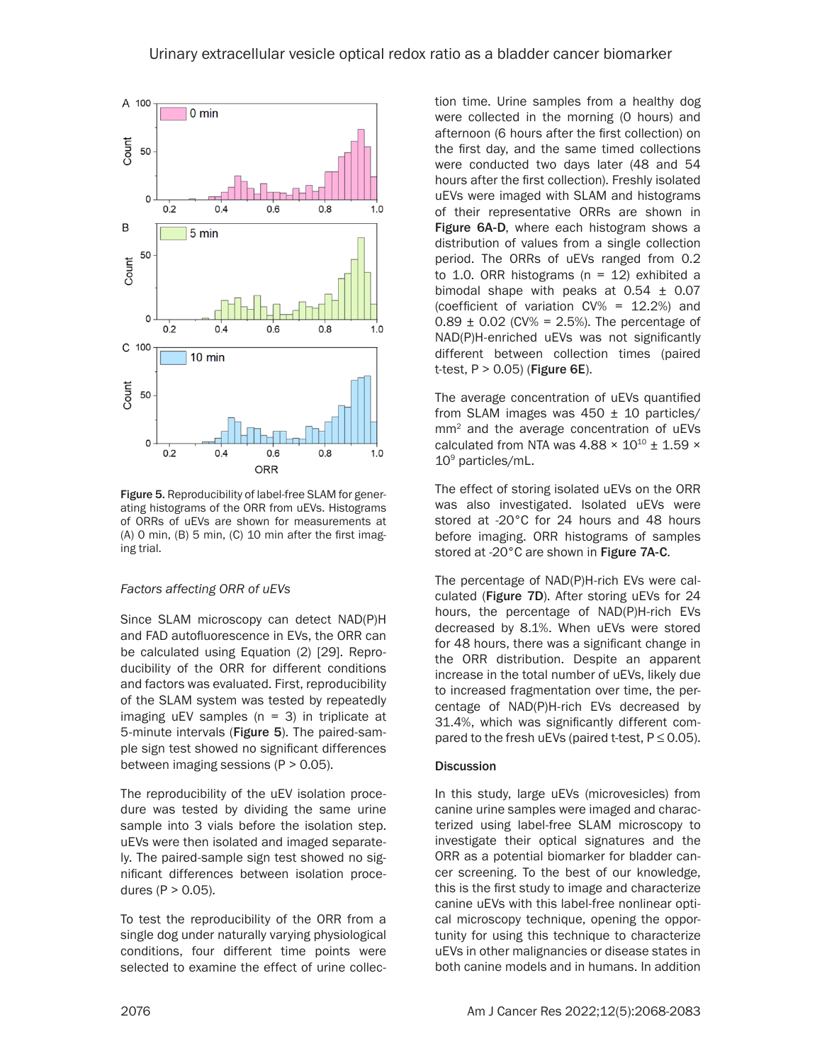

Figure 5. Reproducibility of label-free SLAM for generating histograms of the ORR from uEVs. Histograms of ORRs of uEVs are shown for measurements at (A) 0 min, (B) 5 min, (C) 10 min after the first imaging trial.

#### *Factors affecting ORR of uEVs*

Since SLAM microscopy can detect NAD(P)H and FAD autofluorescence in EVs, the ORR can be calculated using Equation (2) [29]. Reproducibility of the ORR for different conditions and factors was evaluated. First, reproducibility of the SLAM system was tested by repeatedly imaging  $uEV$  samples ( $n = 3$ ) in triplicate at 5-minute intervals (Figure 5). The paired-sample sign test showed no significant differences between imaging sessions (P > 0.05).

The reproducibility of the uEV isolation procedure was tested by dividing the same urine sample into 3 vials before the isolation step. uEVs were then isolated and imaged separately. The paired-sample sign test showed no significant differences between isolation procedures ( $P > 0.05$ ).

To test the reproducibility of the ORR from a single dog under naturally varying physiological conditions, four different time points were selected to examine the effect of urine collec-

tion time. Urine samples from a healthy dog were collected in the morning (0 hours) and afternoon (6 hours after the first collection) on the first day, and the same timed collections were conducted two days later (48 and 54 hours after the first collection). Freshly isolated uEVs were imaged with SLAM and histograms of their representative ORRs are shown in Figure 6A-D, where each histogram shows a distribution of values from a single collection period. The ORRs of uEVs ranged from 0.2 to 1.0. ORR histograms ( $n = 12$ ) exhibited a bimodal shape with peaks at  $0.54 \pm 0.07$ (coefficient of variation CV% = 12.2%) and  $0.89 \pm 0.02$  (CV% = 2.5%). The percentage of NAD(P)H-enriched uEVs was not significantly different between collection times (paired t-test,  $P > 0.05$ ) (Figure 6E).

The average concentration of uEVs quantified from SLAM images was  $450 \pm 10$  particles/ mm2 and the average concentration of uEVs calculated from NTA was  $4.88 \times 10^{10} \pm 1.59 \times$ 109 particles/mL.

The effect of storing isolated uEVs on the ORR was also investigated. Isolated uEVs were stored at -20°C for 24 hours and 48 hours before imaging. ORR histograms of samples stored at -20°C are shown in Figure 7A-C.

The percentage of NAD(P)H-rich EVs were calculated (Figure 7D). After storing uEVs for 24 hours, the percentage of NAD(P)H-rich EVs decreased by 8.1%. When uEVs were stored for 48 hours, there was a significant change in the ORR distribution. Despite an apparent increase in the total number of uEVs, likely due to increased fragmentation over time, the percentage of NAD(P)H-rich EVs decreased by 31.4%, which was significantly different compared to the fresh uEVs (paired t-test,  $P \le 0.05$ ).

#### **Discussion**

In this study, large uEVs (microvesicles) from canine urine samples were imaged and characterized using label-free SLAM microscopy to investigate their optical signatures and the ORR as a potential biomarker for bladder cancer screening. To the best of our knowledge, this is the first study to image and characterize canine uEVs with this label-free nonlinear optical microscopy technique, opening the opportunity for using this technique to characterize uEVs in other malignancies or disease states in both canine models and in humans. In addition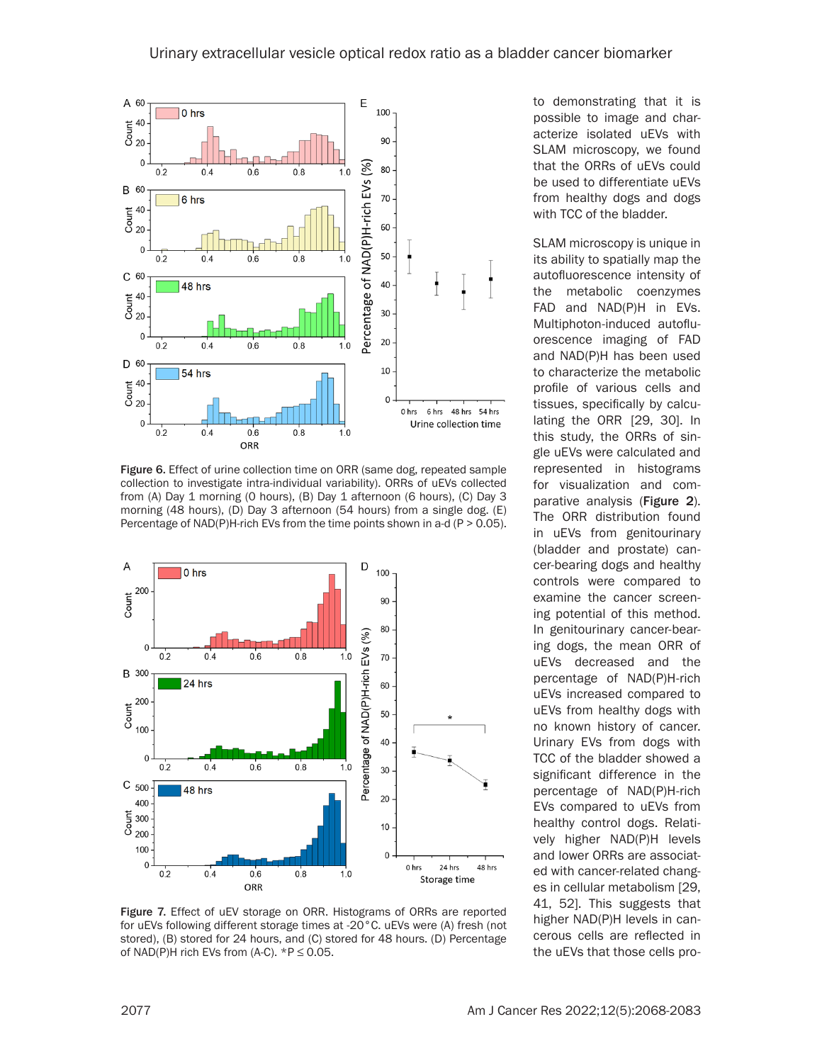

Figure 6. Effect of urine collection time on ORR (same dog, repeated sample collection to investigate intra-individual variability). ORRs of uEVs collected from (A) Day 1 morning (0 hours), (B) Day 1 afternoon (6 hours), (C) Day 3 morning (48 hours), (D) Day 3 afternoon (54 hours) from a single dog. (E) Percentage of NAD(P)H-rich EVs from the time points shown in a-d (P > 0.05).

![](_page_9_Figure_3.jpeg)

Figure 7. Effect of uEV storage on ORR. Histograms of ORRs are reported for uEVs following different storage times at -20°C. uEVs were (A) fresh (not stored), (B) stored for 24 hours, and (C) stored for 48 hours. (D) Percentage of NAD(P)H rich EVs from (A-C). \*P  $\leq$  0.05.

to demonstrating that it is possible to image and characterize isolated uEVs with SLAM microscopy, we found that the ORRs of uEVs could be used to differentiate uEVs from healthy dogs and dogs with TCC of the bladder.

SLAM microscopy is unique in its ability to spatially map the autofluorescence intensity of the metabolic coenzymes FAD and NAD(P)H in EVs. Multiphoton-induced autofluorescence imaging of FAD and NAD(P)H has been used to characterize the metabolic profile of various cells and tissues, specifically by calculating the ORR [29, 30]. In this study, the ORRs of single uEVs were calculated and represented in histograms for visualization and comparative analysis (Figure 2). The ORR distribution found in uEVs from genitourinary (bladder and prostate) cancer-bearing dogs and healthy controls were compared to examine the cancer screening potential of this method. In genitourinary cancer-bearing dogs, the mean ORR of uEVs decreased and the percentage of NAD(P)H-rich uEVs increased compared to uEVs from healthy dogs with no known history of cancer. Urinary EVs from dogs with TCC of the bladder showed a significant difference in the percentage of NAD(P)H-rich EVs compared to uEVs from healthy control dogs. Relatively higher NAD(P)H levels and lower ORRs are associated with cancer-related changes in cellular metabolism [29, 41, 52]. This suggests that higher NAD(P)H levels in cancerous cells are reflected in the uEVs that those cells pro-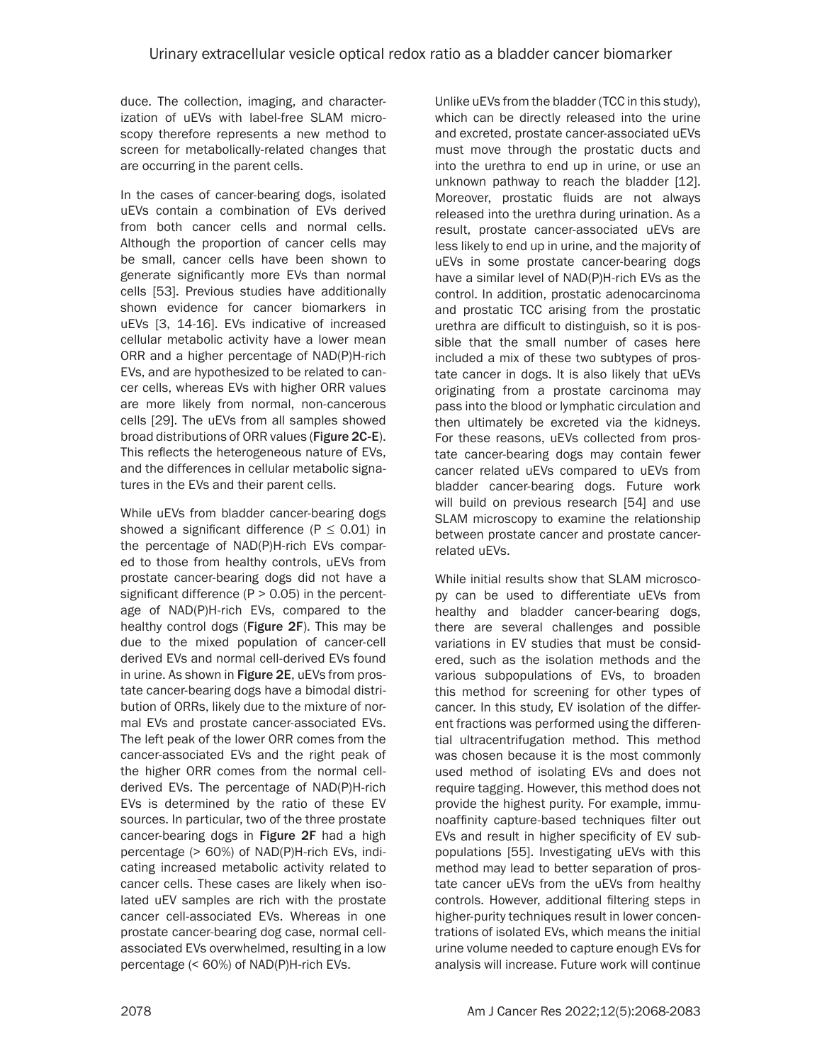duce. The collection, imaging, and characterization of uEVs with label-free SLAM microscopy therefore represents a new method to screen for metabolically-related changes that are occurring in the parent cells.

In the cases of cancer-bearing dogs, isolated uEVs contain a combination of EVs derived from both cancer cells and normal cells. Although the proportion of cancer cells may be small, cancer cells have been shown to generate significantly more EVs than normal cells [53]. Previous studies have additionally shown evidence for cancer biomarkers in uEVs [3, 14-16]. EVs indicative of increased cellular metabolic activity have a lower mean ORR and a higher percentage of NAD(P)H-rich EVs, and are hypothesized to be related to cancer cells, whereas EVs with higher ORR values are more likely from normal, non-cancerous cells [29]. The uEVs from all samples showed broad distributions of ORR values (Figure 2C-E). This reflects the heterogeneous nature of EVs, and the differences in cellular metabolic signatures in the EVs and their parent cells.

While uEVs from bladder cancer-bearing dogs showed a significant difference ( $P \le 0.01$ ) in the percentage of NAD(P)H-rich EVs compared to those from healthy controls, uEVs from prostate cancer-bearing dogs did not have a significant difference  $(P > 0.05)$  in the percentage of NAD(P)H-rich EVs, compared to the healthy control dogs (Figure 2F). This may be due to the mixed population of cancer-cell derived EVs and normal cell-derived EVs found in urine. As shown in Figure 2E, uEVs from prostate cancer-bearing dogs have a bimodal distribution of ORRs, likely due to the mixture of normal EVs and prostate cancer-associated EVs. The left peak of the lower ORR comes from the cancer-associated EVs and the right peak of the higher ORR comes from the normal cellderived EVs. The percentage of NAD(P)H-rich EVs is determined by the ratio of these EV sources. In particular, two of the three prostate cancer-bearing dogs in Figure 2F had a high percentage (> 60%) of NAD(P)H-rich EVs, indicating increased metabolic activity related to cancer cells. These cases are likely when isolated uEV samples are rich with the prostate cancer cell-associated EVs. Whereas in one prostate cancer-bearing dog case, normal cellassociated EVs overwhelmed, resulting in a low percentage (< 60%) of NAD(P)H-rich EVs.

Unlike uEVs from the bladder (TCC in this study), which can be directly released into the urine and excreted, prostate cancer-associated uEVs must move through the prostatic ducts and into the urethra to end up in urine, or use an unknown pathway to reach the bladder [12]. Moreover, prostatic fluids are not always released into the urethra during urination. As a result, prostate cancer-associated uEVs are less likely to end up in urine, and the majority of uEVs in some prostate cancer-bearing dogs have a similar level of NAD(P)H-rich EVs as the control. In addition, prostatic adenocarcinoma and prostatic TCC arising from the prostatic urethra are difficult to distinguish, so it is possible that the small number of cases here included a mix of these two subtypes of prostate cancer in dogs. It is also likely that uEVs originating from a prostate carcinoma may pass into the blood or lymphatic circulation and then ultimately be excreted via the kidneys. For these reasons, uEVs collected from prostate cancer-bearing dogs may contain fewer cancer related uEVs compared to uEVs from bladder cancer-bearing dogs. Future work will build on previous research [54] and use SLAM microscopy to examine the relationship between prostate cancer and prostate cancerrelated uEVs.

While initial results show that SLAM microscopy can be used to differentiate uEVs from healthy and bladder cancer-bearing dogs, there are several challenges and possible variations in EV studies that must be considered, such as the isolation methods and the various subpopulations of EVs, to broaden this method for screening for other types of cancer. In this study, EV isolation of the different fractions was performed using the differential ultracentrifugation method. This method was chosen because it is the most commonly used method of isolating EVs and does not require tagging. However, this method does not provide the highest purity. For example, immunoaffinity capture-based techniques filter out EVs and result in higher specificity of EV subpopulations [55]. Investigating uEVs with this method may lead to better separation of prostate cancer uEVs from the uEVs from healthy controls. However, additional filtering steps in higher-purity techniques result in lower concentrations of isolated EVs, which means the initial urine volume needed to capture enough EVs for analysis will increase. Future work will continue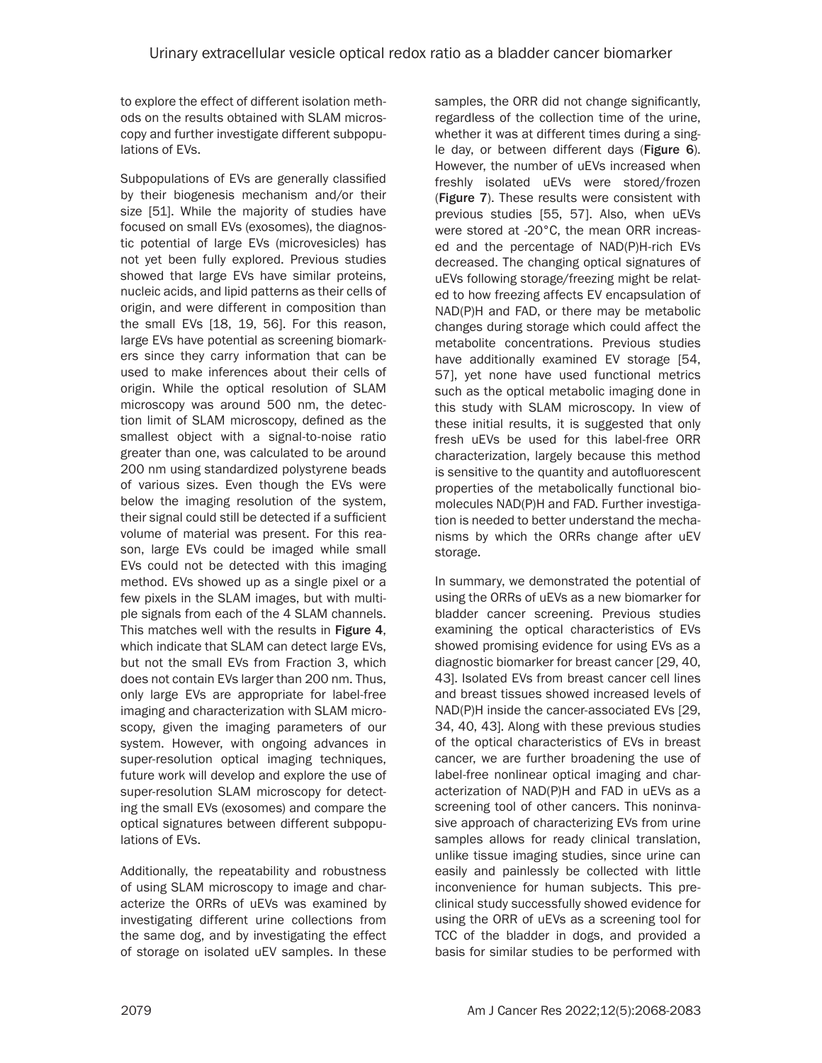to explore the effect of different isolation methods on the results obtained with SLAM microscopy and further investigate different subpopulations of EVs.

Subpopulations of EVs are generally classified by their biogenesis mechanism and/or their size [51]. While the majority of studies have focused on small EVs (exosomes), the diagnostic potential of large EVs (microvesicles) has not yet been fully explored. Previous studies showed that large EVs have similar proteins, nucleic acids, and lipid patterns as their cells of origin, and were different in composition than the small EVs [18, 19, 56]. For this reason, large EVs have potential as screening biomarkers since they carry information that can be used to make inferences about their cells of origin. While the optical resolution of SLAM microscopy was around 500 nm, the detection limit of SLAM microscopy, defined as the smallest object with a signal-to-noise ratio greater than one, was calculated to be around 200 nm using standardized polystyrene beads of various sizes. Even though the EVs were below the imaging resolution of the system, their signal could still be detected if a sufficient volume of material was present. For this reason, large EVs could be imaged while small EVs could not be detected with this imaging method. EVs showed up as a single pixel or a few pixels in the SLAM images, but with multiple signals from each of the 4 SLAM channels. This matches well with the results in Figure 4, which indicate that SLAM can detect large EVs, but not the small EVs from Fraction 3, which does not contain EVs larger than 200 nm. Thus, only large EVs are appropriate for label-free imaging and characterization with SLAM microscopy, given the imaging parameters of our system. However, with ongoing advances in super-resolution optical imaging techniques, future work will develop and explore the use of super-resolution SLAM microscopy for detecting the small EVs (exosomes) and compare the optical signatures between different subpopulations of EVs.

Additionally, the repeatability and robustness of using SLAM microscopy to image and characterize the ORRs of uEVs was examined by investigating different urine collections from the same dog, and by investigating the effect of storage on isolated uEV samples. In these

samples, the ORR did not change significantly, regardless of the collection time of the urine, whether it was at different times during a single day, or between different days (Figure 6). However, the number of uEVs increased when freshly isolated uEVs were stored/frozen (Figure 7). These results were consistent with previous studies [55, 57]. Also, when uEVs were stored at -20°C, the mean ORR increased and the percentage of NAD(P)H-rich EVs decreased. The changing optical signatures of uEVs following storage/freezing might be related to how freezing affects EV encapsulation of NAD(P)H and FAD, or there may be metabolic changes during storage which could affect the metabolite concentrations. Previous studies have additionally examined EV storage [54, 57], yet none have used functional metrics such as the optical metabolic imaging done in this study with SLAM microscopy. In view of these initial results, it is suggested that only fresh uEVs be used for this label-free ORR characterization, largely because this method is sensitive to the quantity and autofluorescent properties of the metabolically functional biomolecules NAD(P)H and FAD. Further investigation is needed to better understand the mechanisms by which the ORRs change after uEV storage.

In summary, we demonstrated the potential of using the ORRs of uEVs as a new biomarker for bladder cancer screening. Previous studies examining the optical characteristics of EVs showed promising evidence for using EVs as a diagnostic biomarker for breast cancer [29, 40, 43]. Isolated EVs from breast cancer cell lines and breast tissues showed increased levels of NAD(P)H inside the cancer-associated EVs [29, 34, 40, 43]. Along with these previous studies of the optical characteristics of EVs in breast cancer, we are further broadening the use of label-free nonlinear optical imaging and characterization of NAD(P)H and FAD in uEVs as a screening tool of other cancers. This noninvasive approach of characterizing EVs from urine samples allows for ready clinical translation, unlike tissue imaging studies, since urine can easily and painlessly be collected with little inconvenience for human subjects. This preclinical study successfully showed evidence for using the ORR of uEVs as a screening tool for TCC of the bladder in dogs, and provided a basis for similar studies to be performed with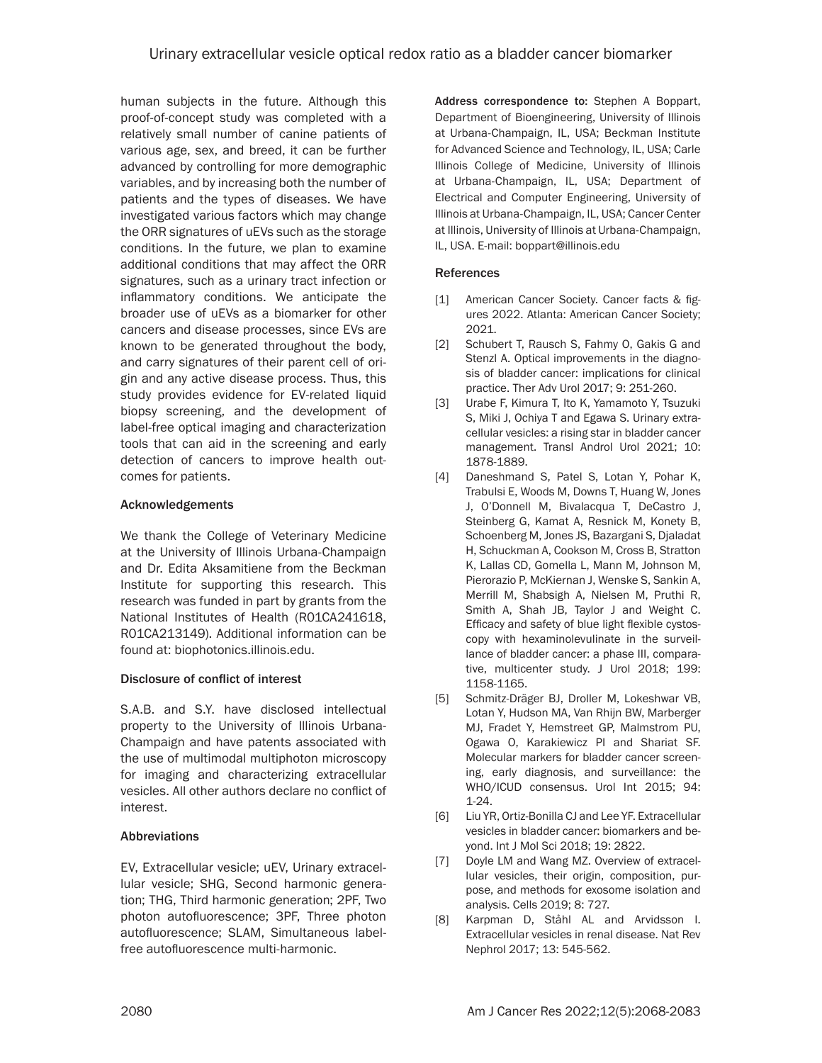human subjects in the future. Although this proof-of-concept study was completed with a relatively small number of canine patients of various age, sex, and breed, it can be further advanced by controlling for more demographic variables, and by increasing both the number of patients and the types of diseases. We have investigated various factors which may change the ORR signatures of uEVs such as the storage conditions. In the future, we plan to examine additional conditions that may affect the ORR signatures, such as a urinary tract infection or inflammatory conditions. We anticipate the broader use of uEVs as a biomarker for other cancers and disease processes, since EVs are known to be generated throughout the body, and carry signatures of their parent cell of origin and any active disease process. Thus, this study provides evidence for EV-related liquid biopsy screening, and the development of label-free optical imaging and characterization tools that can aid in the screening and early detection of cancers to improve health outcomes for patients.

#### Acknowledgements

We thank the College of Veterinary Medicine at the University of Illinois Urbana-Champaign and Dr. Edita Aksamitiene from the Beckman Institute for supporting this research. This research was funded in part by grants from the National Institutes of Health (R01CA241618, R01CA213149). Additional information can be found at: biophotonics.illinois.edu.

## Disclosure of conflict of interest

S.A.B. and S.Y. have disclosed intellectual property to the University of Illinois Urbana-Champaign and have patents associated with the use of multimodal multiphoton microscopy for imaging and characterizing extracellular vesicles. All other authors declare no conflict of interest.

## Abbreviations

EV, Extracellular vesicle; uEV, Urinary extracellular vesicle; SHG, Second harmonic generation; THG, Third harmonic generation; 2PF, Two photon autofluorescence; 3PF, Three photon autofluorescence; SLAM, Simultaneous labelfree autofluorescence multi-harmonic.

Address correspondence to: Stephen A Boppart, Department of Bioengineering, University of Illinois at Urbana-Champaign, IL, USA; Beckman Institute for Advanced Science and Technology, IL, USA; Carle Illinois College of Medicine, University of Illinois at Urbana-Champaign, IL, USA; Department of Electrical and Computer Engineering, University of Illinois at Urbana-Champaign, IL, USA; Cancer Center at Illinois, University of Illinois at Urbana-Champaign, IL, USA. E-mail: boppart@illinois.edu

#### References

- [1] American Cancer Society. Cancer facts & figures 2022. Atlanta: American Cancer Society; 2021.
- [2] Schubert T, Rausch S, Fahmy O, Gakis G and Stenzl A. Optical improvements in the diagnosis of bladder cancer: implications for clinical practice. Ther Adv Urol 2017; 9: 251-260.
- [3] Urabe F, Kimura T, Ito K, Yamamoto Y, Tsuzuki S, Miki J, Ochiya T and Egawa S. Urinary extracellular vesicles: a rising star in bladder cancer management. Transl Androl Urol 2021; 10: 1878-1889.
- [4] Daneshmand S, Patel S, Lotan Y, Pohar K, Trabulsi E, Woods M, Downs T, Huang W, Jones J, O'Donnell M, Bivalacqua T, DeCastro J, Steinberg G, Kamat A, Resnick M, Konety B, Schoenberg M, Jones JS, Bazargani S, Djaladat H, Schuckman A, Cookson M, Cross B, Stratton K, Lallas CD, Gomella L, Mann M, Johnson M, Pierorazio P, McKiernan J, Wenske S, Sankin A, Merrill M, Shabsigh A, Nielsen M, Pruthi R, Smith A, Shah JB, Taylor J and Weight C. Efficacy and safety of blue light flexible cystoscopy with hexaminolevulinate in the surveillance of bladder cancer: a phase III, comparative, multicenter study. J Urol 2018; 199: 1158-1165.
- [5] Schmitz-Dräger BJ, Droller M, Lokeshwar VB, Lotan Y, Hudson MA, Van Rhijn BW, Marberger MJ, Fradet Y, Hemstreet GP, Malmstrom PU, Ogawa O, Karakiewicz PI and Shariat SF. Molecular markers for bladder cancer screening, early diagnosis, and surveillance: the WHO/ICUD consensus. Urol Int 2015; 94: 1-24.
- [6] Liu YR, Ortiz-Bonilla CJ and Lee YF. Extracellular vesicles in bladder cancer: biomarkers and beyond. Int J Mol Sci 2018; 19: 2822.
- [7] Doyle LM and Wang MZ. Overview of extracellular vesicles, their origin, composition, purpose, and methods for exosome isolation and analysis. Cells 2019; 8: 727.
- [8] Karpman D, Ståhl AL and Arvidsson I. Extracellular vesicles in renal disease. Nat Rev Nephrol 2017; 13: 545-562.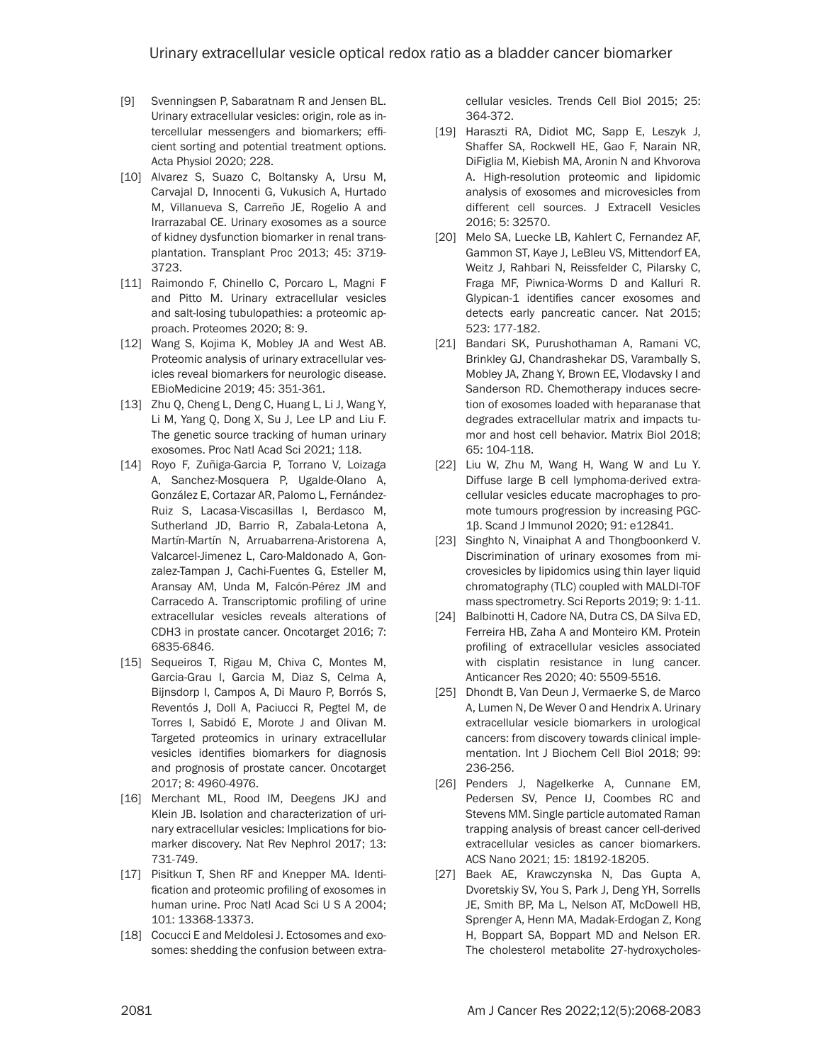- [9] Svenningsen P, Sabaratnam R and Jensen BL. Urinary extracellular vesicles: origin, role as intercellular messengers and biomarkers; efficient sorting and potential treatment options. Acta Physiol 2020; 228.
- [10] Alvarez S, Suazo C, Boltansky A, Ursu M, Carvajal D, Innocenti G, Vukusich A, Hurtado M, Villanueva S, Carreño JE, Rogelio A and Irarrazabal CE. Urinary exosomes as a source of kidney dysfunction biomarker in renal transplantation. Transplant Proc 2013; 45: 3719- 3723.
- [11] Raimondo F, Chinello C, Porcaro L, Magni F and Pitto M. Urinary extracellular vesicles and salt-losing tubulopathies: a proteomic approach. Proteomes 2020; 8: 9.
- [12] Wang S, Kojima K, Mobley JA and West AB. Proteomic analysis of urinary extracellular vesicles reveal biomarkers for neurologic disease. EBioMedicine 2019; 45: 351-361.
- [13] Zhu Q, Cheng L, Deng C, Huang L, Li J, Wang Y, Li M, Yang Q, Dong X, Su J, Lee LP and Liu F. The genetic source tracking of human urinary exosomes. Proc Natl Acad Sci 2021; 118.
- [14] Royo F, Zuñiga-Garcia P, Torrano V, Loizaga A, Sanchez-Mosquera P, Ugalde-Olano A, González E, Cortazar AR, Palomo L, Fernández-Ruiz S, Lacasa-Viscasillas I, Berdasco M, Sutherland JD, Barrio R, Zabala-Letona A, Martín-Martín N, Arruabarrena-Aristorena A, Valcarcel-Jimenez L, Caro-Maldonado A, Gonzalez-Tampan J, Cachi-Fuentes G, Esteller M, Aransay AM, Unda M, Falcón-Pérez JM and Carracedo A. Transcriptomic profiling of urine extracellular vesicles reveals alterations of CDH3 in prostate cancer. Oncotarget 2016; 7: 6835-6846.
- [15] Sequeiros T, Rigau M, Chiva C, Montes M, Garcia-Grau I, Garcia M, Diaz S, Celma A, Bijnsdorp I, Campos A, Di Mauro P, Borrós S, Reventós J, Doll A, Paciucci R, Pegtel M, de Torres I, Sabidó E, Morote J and Olivan M. Targeted proteomics in urinary extracellular vesicles identifies biomarkers for diagnosis and prognosis of prostate cancer. Oncotarget 2017; 8: 4960-4976.
- [16] Merchant ML, Rood IM, Deegens JKJ and Klein JB. Isolation and characterization of urinary extracellular vesicles: Implications for biomarker discovery. Nat Rev Nephrol 2017; 13: 731-749.
- [17] Pisitkun T, Shen RF and Knepper MA. Identification and proteomic profiling of exosomes in human urine. Proc Natl Acad Sci U S A 2004; 101: 13368-13373.
- [18] Cocucci E and Meldolesi J. Ectosomes and exosomes: shedding the confusion between extra-

cellular vesicles. Trends Cell Biol 2015; 25: 364-372.

- [19] Haraszti RA, Didiot MC, Sapp E, Leszyk J, Shaffer SA, Rockwell HE, Gao F, Narain NR, DiFiglia M, Kiebish MA, Aronin N and Khvorova A. High-resolution proteomic and lipidomic analysis of exosomes and microvesicles from different cell sources. J Extracell Vesicles 2016; 5: 32570.
- [20] Melo SA, Luecke LB, Kahlert C, Fernandez AF, Gammon ST, Kaye J, LeBleu VS, Mittendorf EA, Weitz J, Rahbari N, Reissfelder C, Pilarsky C, Fraga MF, Piwnica-Worms D and Kalluri R. Glypican-1 identifies cancer exosomes and detects early pancreatic cancer. Nat 2015; 523: 177-182.
- [21] Bandari SK, Purushothaman A, Ramani VC, Brinkley GJ, Chandrashekar DS, Varambally S, Mobley JA, Zhang Y, Brown EE, Vlodavsky I and Sanderson RD. Chemotherapy induces secretion of exosomes loaded with heparanase that degrades extracellular matrix and impacts tumor and host cell behavior. Matrix Biol 2018; 65: 104-118.
- [22] Liu W, Zhu M, Wang H, Wang W and Lu Y. Diffuse large B cell lymphoma-derived extracellular vesicles educate macrophages to promote tumours progression by increasing PGC-1β. Scand J Immunol 2020; 91: e12841.
- [23] Singhto N, Vinaiphat A and Thongboonkerd V. Discrimination of urinary exosomes from microvesicles by lipidomics using thin layer liquid chromatography (TLC) coupled with MALDI-TOF mass spectrometry. Sci Reports 2019; 9: 1-11.
- [24] Balbinotti H, Cadore NA, Dutra CS, DA Silva ED, Ferreira HB, Zaha A and Monteiro KM. Protein profiling of extracellular vesicles associated with cisplatin resistance in lung cancer. Anticancer Res 2020; 40: 5509-5516.
- [25] Dhondt B, Van Deun J, Vermaerke S, de Marco A, Lumen N, De Wever O and Hendrix A. Urinary extracellular vesicle biomarkers in urological cancers: from discovery towards clinical implementation. Int J Biochem Cell Biol 2018; 99: 236-256.
- [26] Penders J, Nagelkerke A, Cunnane EM, Pedersen SV, Pence IJ, Coombes RC and Stevens MM. Single particle automated Raman trapping analysis of breast cancer cell-derived extracellular vesicles as cancer biomarkers. ACS Nano 2021; 15: 18192-18205.
- [27] Baek AE, Krawczynska N, Das Gupta A, Dvoretskiy SV, You S, Park J, Deng YH, Sorrells JE, Smith BP, Ma L, Nelson AT, McDowell HB, Sprenger A, Henn MA, Madak-Erdogan Z, Kong H, Boppart SA, Boppart MD and Nelson ER. The cholesterol metabolite 27-hydroxycholes-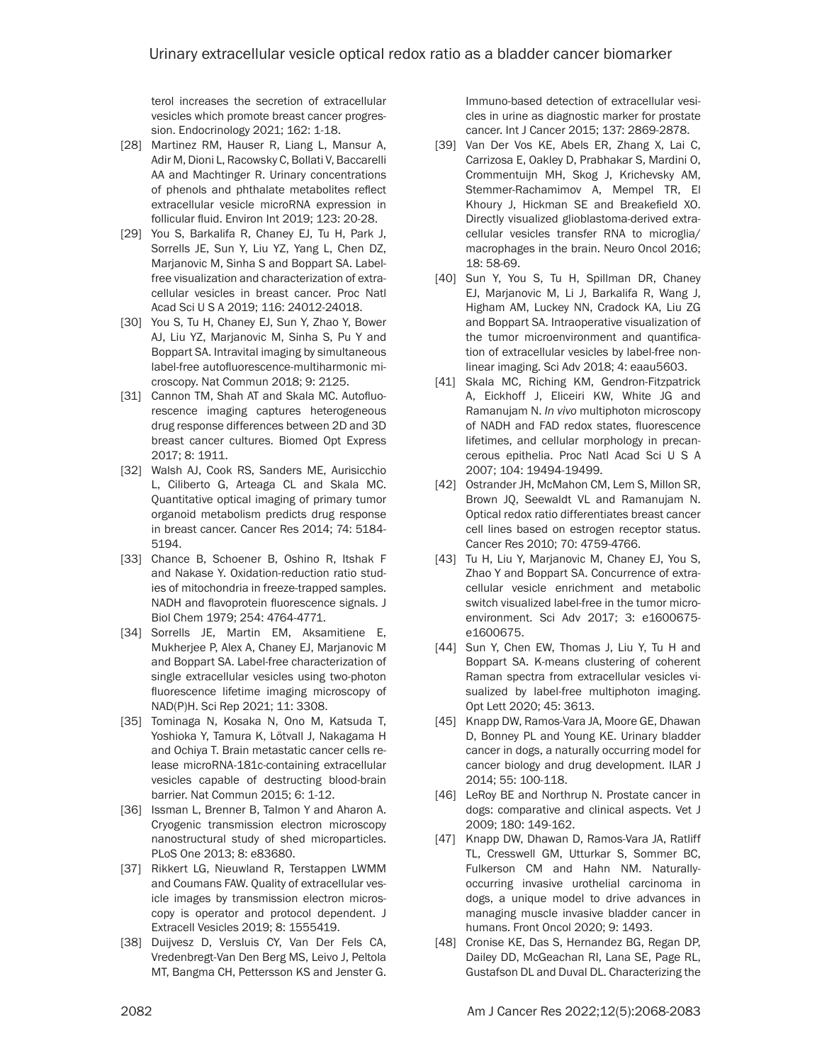terol increases the secretion of extracellular vesicles which promote breast cancer progression. Endocrinology 2021; 162: 1-18.

- [28] Martinez RM, Hauser R, Liang L, Mansur A, Adir M, Dioni L, Racowsky C, Bollati V, Baccarelli AA and Machtinger R. Urinary concentrations of phenols and phthalate metabolites reflect extracellular vesicle microRNA expression in follicular fluid. Environ Int 2019; 123: 20-28.
- [29] You S, Barkalifa R, Chaney EJ, Tu H, Park J, Sorrells JE, Sun Y, Liu YZ, Yang L, Chen DZ, Marjanovic M, Sinha S and Boppart SA. Labelfree visualization and characterization of extracellular vesicles in breast cancer. Proc Natl Acad Sci U S A 2019; 116: 24012-24018.
- [30] You S, Tu H, Chaney EJ, Sun Y, Zhao Y, Bower AJ, Liu YZ, Marjanovic M, Sinha S, Pu Y and Boppart SA. Intravital imaging by simultaneous label-free autofluorescence-multiharmonic microscopy. Nat Commun 2018; 9: 2125.
- [31] Cannon TM, Shah AT and Skala MC. Autofluorescence imaging captures heterogeneous drug response differences between 2D and 3D breast cancer cultures. Biomed Opt Express 2017; 8: 1911.
- [32] Walsh AJ, Cook RS, Sanders ME, Aurisicchio L, Ciliberto G, Arteaga CL and Skala MC. Quantitative optical imaging of primary tumor organoid metabolism predicts drug response in breast cancer. Cancer Res 2014; 74: 5184- 5194.
- [33] Chance B, Schoener B, Oshino R, Itshak F and Nakase Y. Oxidation-reduction ratio studies of mitochondria in freeze-trapped samples. NADH and flavoprotein fluorescence signals. J Biol Chem 1979; 254: 4764-4771.
- [34] Sorrells JE, Martin EM, Aksamitiene E, Mukherjee P, Alex A, Chaney EJ, Marjanovic M and Boppart SA. Label-free characterization of single extracellular vesicles using two-photon fluorescence lifetime imaging microscopy of NAD(P)H. Sci Rep 2021; 11: 3308.
- [35] Tominaga N, Kosaka N, Ono M, Katsuda T, Yoshioka Y, Tamura K, Lötvall J, Nakagama H and Ochiya T. Brain metastatic cancer cells release microRNA-181c-containing extracellular vesicles capable of destructing blood-brain barrier. Nat Commun 2015; 6: 1-12.
- [36] Issman L, Brenner B, Talmon Y and Aharon A. Cryogenic transmission electron microscopy nanostructural study of shed microparticles. PLoS One 2013; 8: e83680.
- [37] Rikkert LG, Nieuwland R, Terstappen LWMM and Coumans FAW. Quality of extracellular vesicle images by transmission electron microscopy is operator and protocol dependent. J Extracell Vesicles 2019; 8: 1555419.
- [38] Duijvesz D, Versluis CY, Van Der Fels CA, Vredenbregt-Van Den Berg MS, Leivo J, Peltola MT, Bangma CH, Pettersson KS and Jenster G.

Immuno-based detection of extracellular vesicles in urine as diagnostic marker for prostate cancer. Int J Cancer 2015; 137: 2869-2878.

- [39] Van Der Vos KE, Abels ER, Zhang X, Lai C, Carrizosa E, Oakley D, Prabhakar S, Mardini O, Crommentuijn MH, Skog J, Krichevsky AM, Stemmer-Rachamimov A, Mempel TR, El Khoury J, Hickman SE and Breakefield XO. Directly visualized glioblastoma-derived extracellular vesicles transfer RNA to microglia/ macrophages in the brain. Neuro Oncol 2016; 18: 58-69.
- [40] Sun Y, You S, Tu H, Spillman DR, Chaney EJ, Marjanovic M, Li J, Barkalifa R, Wang J, Higham AM, Luckey NN, Cradock KA, Liu ZG and Boppart SA. Intraoperative visualization of the tumor microenvironment and quantification of extracellular vesicles by label-free nonlinear imaging. Sci Adv 2018; 4: eaau5603.
- [41] Skala MC, Riching KM, Gendron-Fitzpatrick A, Eickhoff J, Eliceiri KW, White JG and Ramanujam N. *In vivo* multiphoton microscopy of NADH and FAD redox states, fluorescence lifetimes, and cellular morphology in precancerous epithelia. Proc Natl Acad Sci U S A 2007; 104: 19494-19499.
- [42] Ostrander JH, McMahon CM, Lem S, Millon SR, Brown JQ, Seewaldt VL and Ramanujam N. Optical redox ratio differentiates breast cancer cell lines based on estrogen receptor status. Cancer Res 2010; 70: 4759-4766.
- [43] Tu H, Liu Y, Marjanovic M, Chaney EJ, You S, Zhao Y and Boppart SA. Concurrence of extracellular vesicle enrichment and metabolic switch visualized label-free in the tumor microenvironment. Sci Adv 2017; 3: e1600675 e1600675.
- [44] Sun Y, Chen EW, Thomas J, Liu Y, Tu H and Boppart SA. K-means clustering of coherent Raman spectra from extracellular vesicles visualized by label-free multiphoton imaging. Opt Lett 2020; 45: 3613.
- [45] Knapp DW, Ramos-Vara JA, Moore GE, Dhawan D, Bonney PL and Young KE. Urinary bladder cancer in dogs, a naturally occurring model for cancer biology and drug development. ILAR J 2014; 55: 100-118.
- [46] LeRoy BE and Northrup N. Prostate cancer in dogs: comparative and clinical aspects. Vet J 2009; 180: 149-162.
- [47] Knapp DW, Dhawan D, Ramos-Vara JA, Ratliff TL, Cresswell GM, Utturkar S, Sommer BC, Fulkerson CM and Hahn NM. Naturallyoccurring invasive urothelial carcinoma in dogs, a unique model to drive advances in managing muscle invasive bladder cancer in humans. Front Oncol 2020; 9: 1493.
- [48] Cronise KE, Das S, Hernandez BG, Regan DP, Dailey DD, McGeachan RI, Lana SE, Page RL, Gustafson DL and Duval DL. Characterizing the